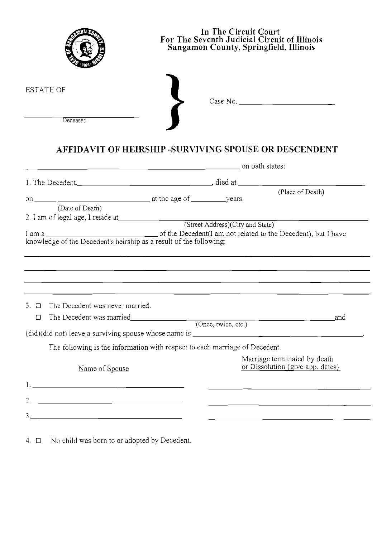|                                       |                                                                                                                                                     | In The Circuit Court<br>For The Seventh Judicial Circuit of Illinois<br>Sangamon County, Springfield, Illinois |                                                                                                                     |  |  |  |
|---------------------------------------|-----------------------------------------------------------------------------------------------------------------------------------------------------|----------------------------------------------------------------------------------------------------------------|---------------------------------------------------------------------------------------------------------------------|--|--|--|
| <b>ESTATE OF</b><br>Deceased          |                                                                                                                                                     |                                                                                                                | Case No. $\qquad \qquad$                                                                                            |  |  |  |
|                                       | AFFIDAVIT OF HEIRSHIP -SURVIVING SPOUSE OR DESCENDENT<br>and the states: and the states: and the states: and of the states: the states: the states: |                                                                                                                |                                                                                                                     |  |  |  |
|                                       |                                                                                                                                                     |                                                                                                                |                                                                                                                     |  |  |  |
| (Date of Death)                       |                                                                                                                                                     |                                                                                                                | (Place of Death)                                                                                                    |  |  |  |
|                                       |                                                                                                                                                     | (Street Address)(City and State)                                                                               |                                                                                                                     |  |  |  |
|                                       |                                                                                                                                                     |                                                                                                                |                                                                                                                     |  |  |  |
| $\Box$ The Decedent was never married |                                                                                                                                                     |                                                                                                                |                                                                                                                     |  |  |  |
| $\Box$                                | The Decedent was married (Once, twice, etc.)                                                                                                        |                                                                                                                | and                                                                                                                 |  |  |  |
|                                       |                                                                                                                                                     |                                                                                                                |                                                                                                                     |  |  |  |
|                                       | The following is the information with respect to each marriage of Decedent.                                                                         |                                                                                                                |                                                                                                                     |  |  |  |
| Name of Spouse                        |                                                                                                                                                     |                                                                                                                | Marriage terminated by death<br>or Dissolution (give app. dates)                                                    |  |  |  |
|                                       |                                                                                                                                                     |                                                                                                                | <u> 2000 - Andrea Andrew Maria (h. 1878).</u><br>1900 - Andrew Maria (h. 1882).                                     |  |  |  |
|                                       |                                                                                                                                                     |                                                                                                                | <u> 1990 - Jan James James, politik eta idazleari eta idazleari eta idazleari eta idazleari eta idazleari eta i</u> |  |  |  |
|                                       |                                                                                                                                                     |                                                                                                                | <u> 1989 - Andrea Stadt Britain, amerikansk politiker (d. 1989)</u>                                                 |  |  |  |
|                                       |                                                                                                                                                     |                                                                                                                |                                                                                                                     |  |  |  |

4.  $\Box$  No child was born to or adopted by Decedent.